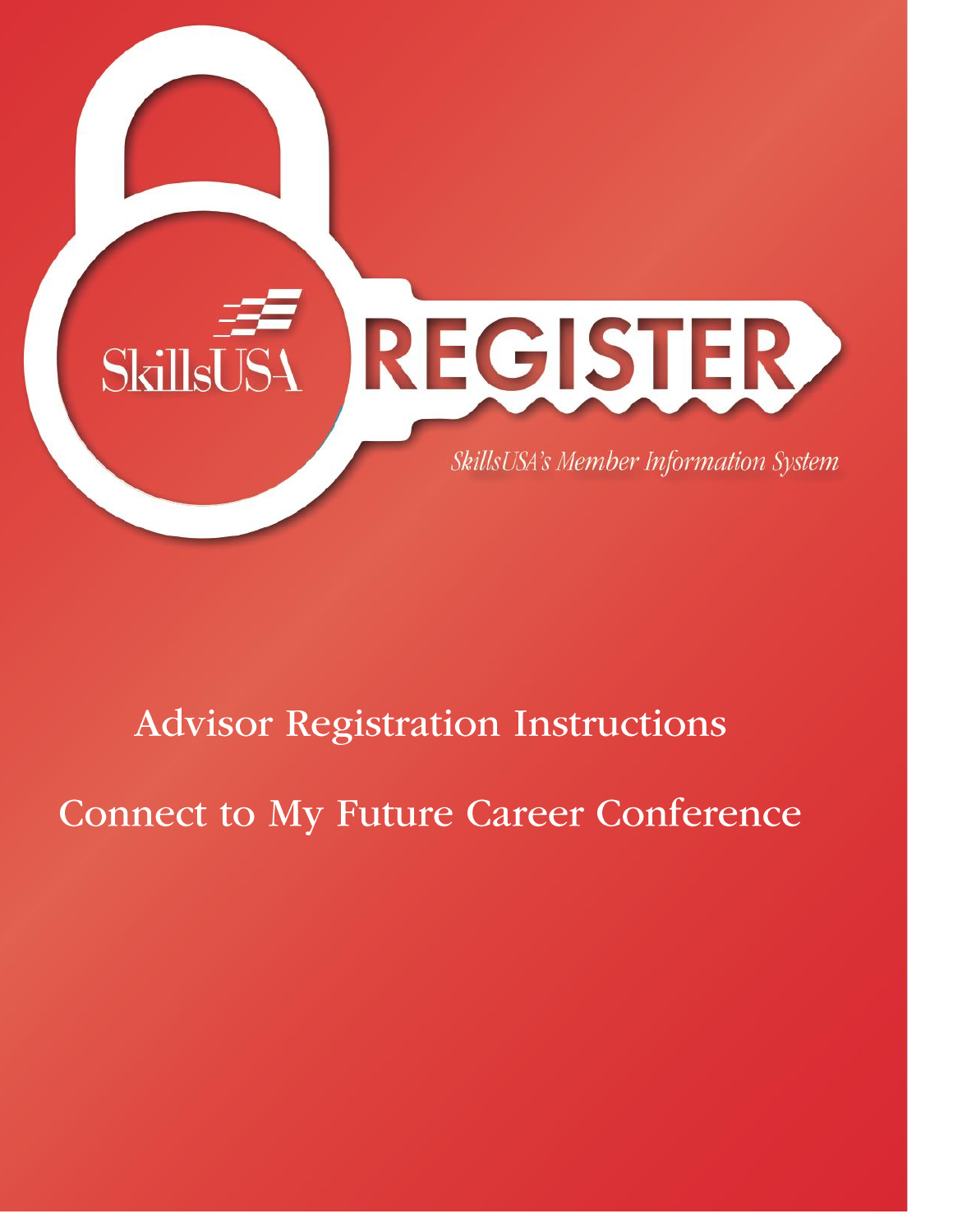

# **Advisor Registration Instructions**

**Connect to My Future Career Conference**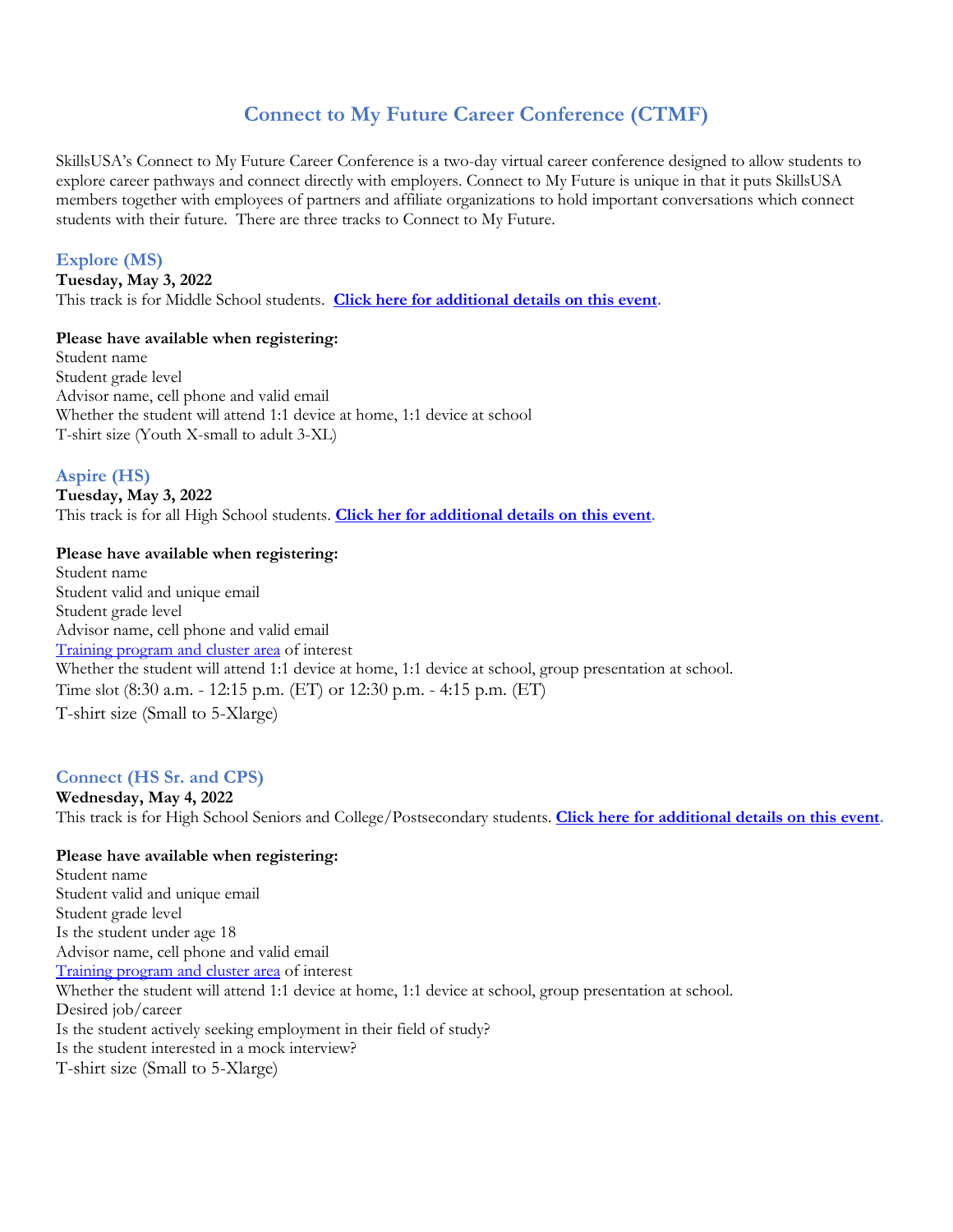# **Connect to My Future Career Conference (CTMF)**

SkillsUSA's Connect to My Future Career Conference is a two-day virtual career conference designed to allow students to explore career pathways and connect directly with employers. Connect to My Future is unique in that it puts SkillsUSA members together with employees of partners and affiliate organizations to hold important conversations which connect students with their future. There are three tracks to Connect to My Future.

## **Explore (MS)**

**Tuesday, May 3, 2022** This track is for Middle School students. **[Click here for additional details on this event.](https://www.skillsusa.org/events-training/skillsusa-connect-to-my-future-conference/explore/)**

## **Please have available when registering:**

Student name Student grade level Advisor name, cell phone and valid email Whether the student will attend 1:1 device at home, 1:1 device at school T-shirt size (Youth X-small to adult 3-XL)

## **Aspire (HS)**

**Tuesday, May 3, 2022** This track is for all High School students. **[Click her for additional details on this event.](https://www.skillsusa.org/events-training/skillsusa-connect-to-my-future-conference/aspire/)**

#### **Please have available when registering:**

Student name Student valid and unique email Student grade level Advisor name, cell phone and valid email [Training program and cluster area](http://bit.ly/30gkp9F) of interest Whether the student will attend 1:1 device at home, 1:1 device at school, group presentation at school. Time slot (8:30 a.m. - 12:15 p.m. (ET) or 12:30 p.m. - 4:15 p.m. (ET) T-shirt size (Small to 5-Xlarge)

# **Connect (HS Sr. and CPS)**

**Wednesday, May 4, 2022** This track is for High School Seniors and College/Postsecondary students. **[Click here for additional details on this event.](https://www.skillsusa.org/events-training/skillsusa-connect-to-my-future-conference/connect/)**

## **Please have available when registering:**

Student name Student valid and unique email Student grade level Is the student under age 18 Advisor name, cell phone and valid email [Training program and cluster area](http://bit.ly/30gkp9F) of interest Whether the student will attend 1:1 device at home, 1:1 device at school, group presentation at school. Desired job/career Is the student actively seeking employment in their field of study? Is the student interested in a mock interview? T-shirt size (Small to 5-Xlarge)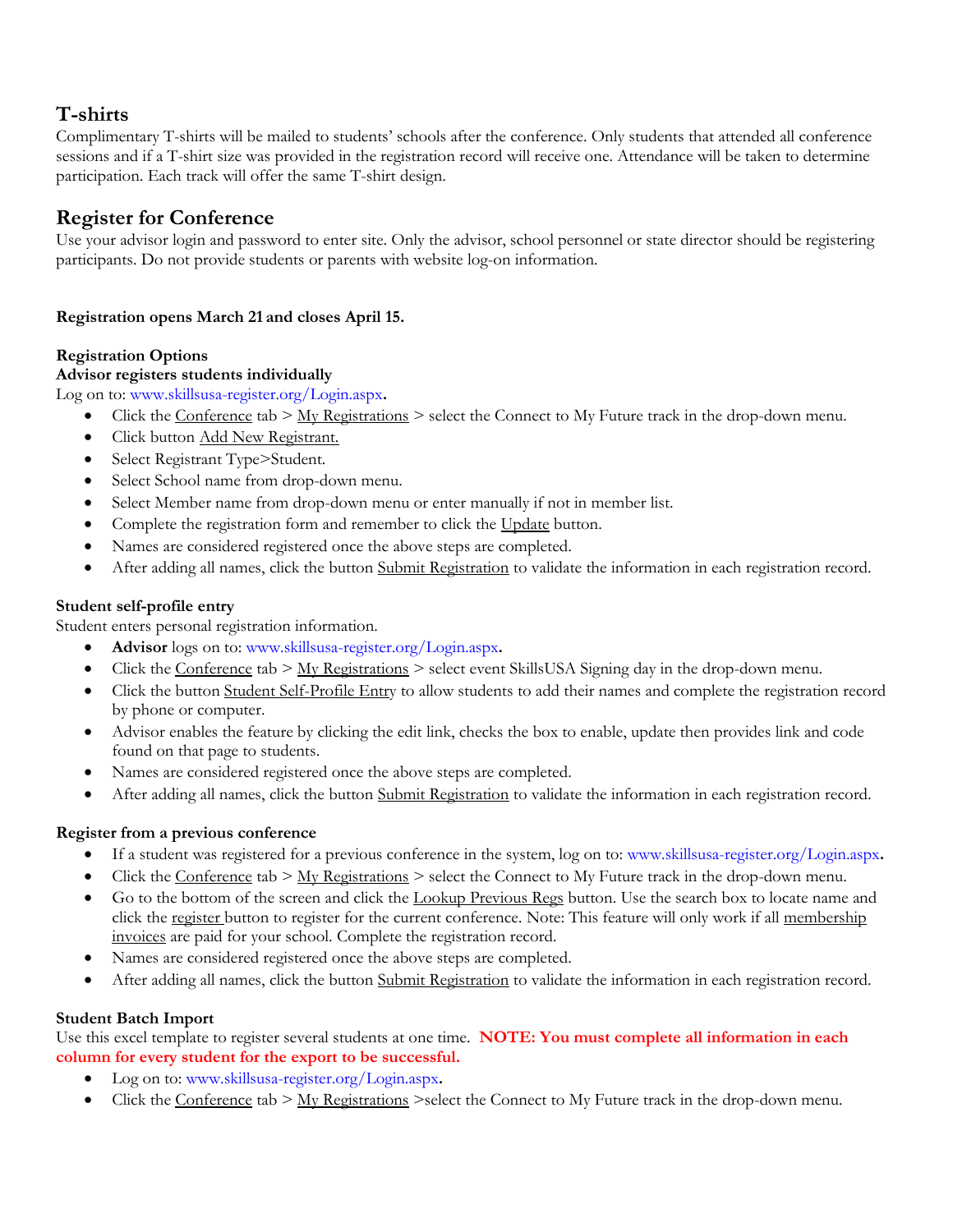# **T-shirts**

Complimentary T-shirts will be mailed to students' schools after the conference. Only students that attended all conference sessions and if a T-shirt size was provided in the registration record will receive one. Attendance will be taken to determine participation. Each track will offer the same T-shirt design.

# **Register for Conference**

Use your advisor login and password to enter site. Only the advisor, school personnel or state director should be registering participants. Do not provide students or parents with website log-on information.

# **Registration opens March 21 and closes April 15.**

# **Registration Options**

# **Advisor registers students individually**

Log on to: [www.skillsusa-register.org/Login.aspx](http://www.skillsusa-register.org/Login.aspx)**.**

- Click the Conference tab  $>$  My Registrations  $>$  select the Connect to My Future track in the drop-down menu.
- Click button Add New Registrant.
- Select Registrant Type>Student.
- Select School name from drop-down menu.
- Select Member name from drop-down menu or enter manually if not in member list.
- Complete the registration form and remember to click the Update button.
- Names are considered registered once the above steps are completed.
- After adding all names, click the button Submit Registration to validate the information in each registration record.

# **Student self-profile entry**

Student enters personal registration information.

- **Advisor** logs on to: [www.skillsusa-register.org/Login.aspx](http://www.skillsusa-register.org/Login.aspx)**.**
- Click the Conference tab > My Registrations > select event SkillsUSA Signing day in the drop-down menu.
- Click the button Student Self-Profile Entry to allow students to add their names and complete the registration record by phone or computer.
- Advisor enables the feature by clicking the edit link, checks the box to enable, update then provides link and code found on that page to students.
- Names are considered registered once the above steps are completed.
- After adding all names, click the button Submit Registration to validate the information in each registration record.

# **Register from a previous conference**

- If a student was registered for a previous conference in the system, log on to: [www.skillsusa-register.org/Login.aspx](http://www.skillsusa-register.org/Login.aspx)**.**
- Click the Conference tab > My Registrations > select the Connect to My Future track in the drop-down menu.
- Go to the bottom of the screen and click the Lookup Previous Regs button. Use the search box to locate name and click the register button to register for the current conference*.* Note: This feature will only work if all membership invoices are paid for your school. Complete the registration record.
- Names are considered registered once the above steps are completed.
- After adding all names, click the button Submit Registration to validate the information in each registration record.

# **Student Batch Import**

Use this excel template to register several students at one time. **NOTE: You must complete all information in each column for every student for the export to be successful.** 

- Log on to: [www.skillsusa-register.org/Login.aspx](http://www.skillsusa-register.org/Login.aspx)**.**
- Click the Conference tab  $> M_y$  Registrations  $>$ select the Connect to My Future track in the drop-down menu.